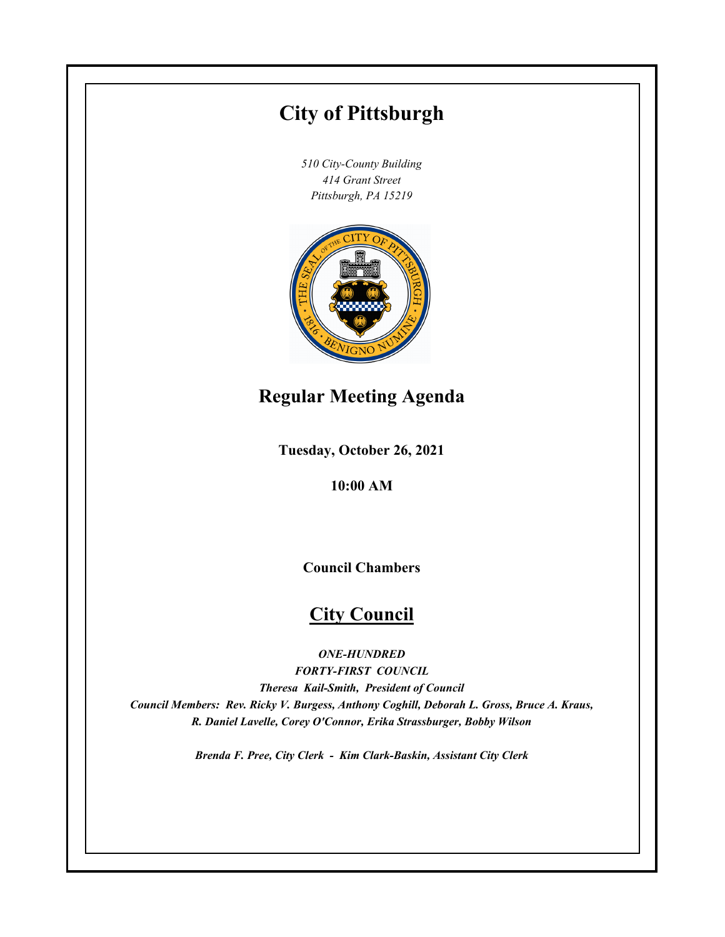# **City of Pittsburgh**

*510 City-County Building 414 Grant Street Pittsburgh, PA 15219*



# **Regular Meeting Agenda**

**Tuesday, October 26, 2021**

**10:00 AM**

**Council Chambers**

# **City Council**

*ONE-HUNDRED*

*FORTY-FIRST COUNCIL Theresa Kail-Smith, President of Council Council Members: Rev. Ricky V. Burgess, Anthony Coghill, Deborah L. Gross, Bruce A. Kraus, R. Daniel Lavelle, Corey O'Connor, Erika Strassburger, Bobby Wilson*

*Brenda F. Pree, City Clerk - Kim Clark-Baskin, Assistant City Clerk*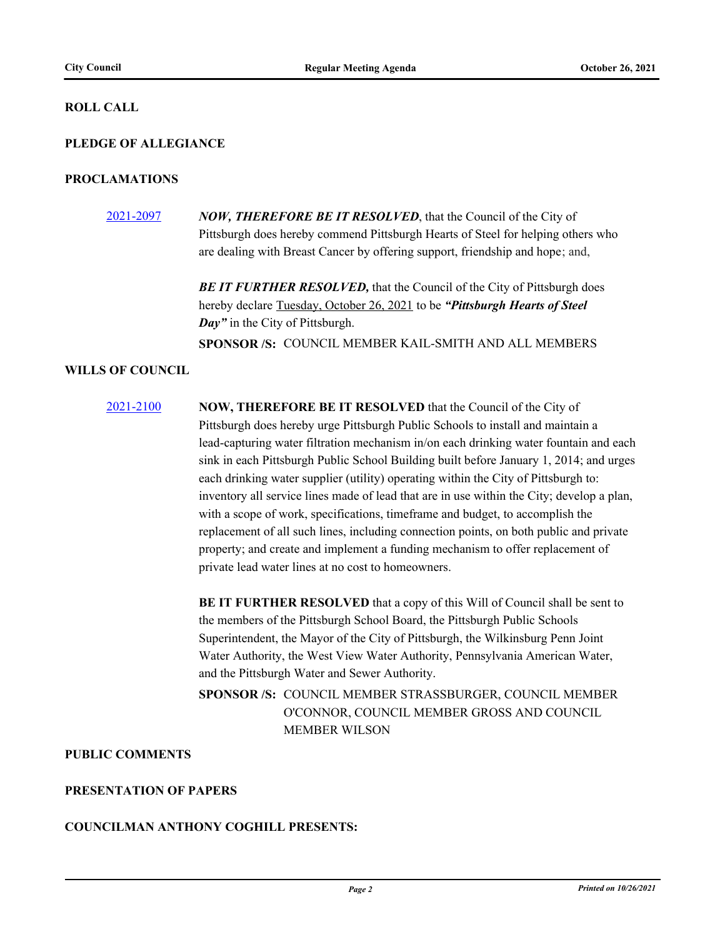#### **ROLL CALL**

#### **PLEDGE OF ALLEGIANCE**

#### **PROCLAMATIONS**

[2021-2097](http://pittsburgh.legistar.com/gateway.aspx?m=l&id=/matter.aspx?key=26980) *NOW, THEREFORE BE IT RESOLVED*, that the Council of the City of Pittsburgh does hereby commend Pittsburgh Hearts of Steel for helping others who are dealing with Breast Cancer by offering support, friendship and hope; and,

> **BE IT FURTHER RESOLVED, that the Council of the City of Pittsburgh does** hereby declare Tuesday, October 26, 2021 to be *"Pittsburgh Hearts of Steel Day"* in the City of Pittsburgh. **SPONSOR /S:** COUNCIL MEMBER KAIL-SMITH AND ALL MEMBERS

## **WILLS OF COUNCIL**

[2021-2100](http://pittsburgh.legistar.com/gateway.aspx?m=l&id=/matter.aspx?key=26984) **NOW, THEREFORE BE IT RESOLVED** that the Council of the City of Pittsburgh does hereby urge Pittsburgh Public Schools to install and maintain a lead-capturing water filtration mechanism in/on each drinking water fountain and each sink in each Pittsburgh Public School Building built before January 1, 2014; and urges each drinking water supplier (utility) operating within the City of Pittsburgh to: inventory all service lines made of lead that are in use within the City; develop a plan, with a scope of work, specifications, timeframe and budget, to accomplish the replacement of all such lines, including connection points, on both public and private property; and create and implement a funding mechanism to offer replacement of private lead water lines at no cost to homeowners.

> **BE IT FURTHER RESOLVED** that a copy of this Will of Council shall be sent to the members of the Pittsburgh School Board, the Pittsburgh Public Schools Superintendent, the Mayor of the City of Pittsburgh, the Wilkinsburg Penn Joint Water Authority, the West View Water Authority, Pennsylvania American Water, and the Pittsburgh Water and Sewer Authority.

SPONSOR /S: COUNCIL MEMBER STRASSBURGER, COUNCIL MEMBER O'CONNOR, COUNCIL MEMBER GROSS AND COUNCIL MEMBER WILSON

## **PUBLIC COMMENTS**

#### **PRESENTATION OF PAPERS**

## **COUNCILMAN ANTHONY COGHILL PRESENTS:**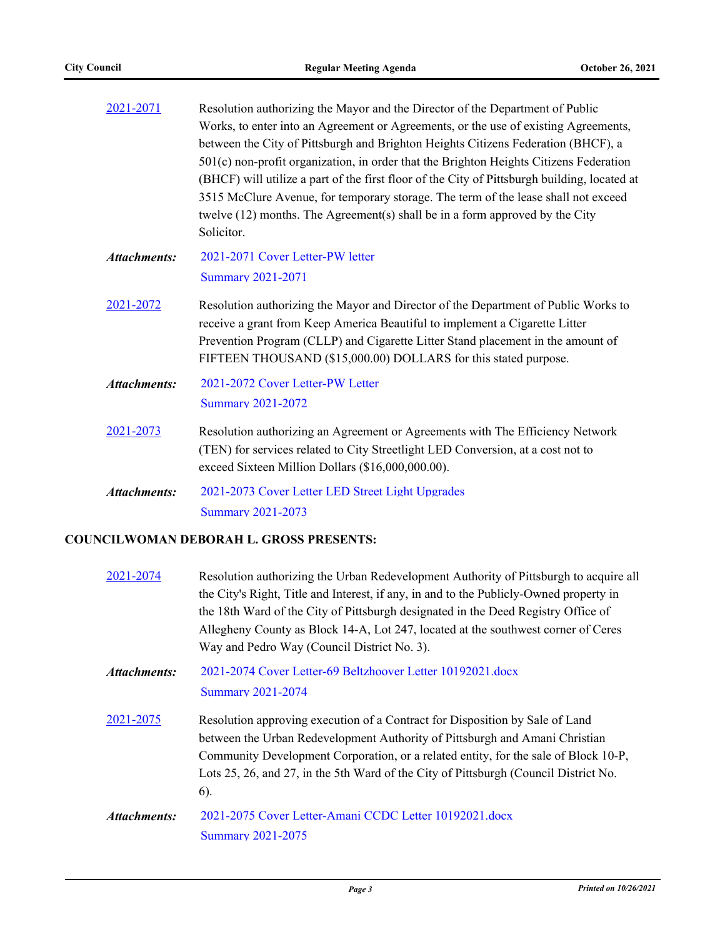| 2021-2071           | Resolution authorizing the Mayor and the Director of the Department of Public                                                                                     |  |  |  |  |
|---------------------|-------------------------------------------------------------------------------------------------------------------------------------------------------------------|--|--|--|--|
|                     | Works, to enter into an Agreement or Agreements, or the use of existing Agreements,                                                                               |  |  |  |  |
|                     | between the City of Pittsburgh and Brighton Heights Citizens Federation (BHCF), a                                                                                 |  |  |  |  |
|                     | 501(c) non-profit organization, in order that the Brighton Heights Citizens Federation                                                                            |  |  |  |  |
|                     | (BHCF) will utilize a part of the first floor of the City of Pittsburgh building, located at                                                                      |  |  |  |  |
|                     | 3515 McClure Avenue, for temporary storage. The term of the lease shall not exceed                                                                                |  |  |  |  |
|                     | twelve $(12)$ months. The Agreement $(s)$ shall be in a form approved by the City                                                                                 |  |  |  |  |
|                     | Solicitor.                                                                                                                                                        |  |  |  |  |
| <b>Attachments:</b> | 2021-2071 Cover Letter-PW letter                                                                                                                                  |  |  |  |  |
|                     | <b>Summary 2021-2071</b>                                                                                                                                          |  |  |  |  |
| 2021-2072           | Resolution authorizing the Mayor and Director of the Department of Public Works to<br>receive a grant from Keep America Beautiful to implement a Cigarette Litter |  |  |  |  |
|                     | Prevention Program (CLLP) and Cigarette Litter Stand placement in the amount of<br>FIFTEEN THOUSAND (\$15,000.00) DOLLARS for this stated purpose.                |  |  |  |  |
| <b>Attachments:</b> | 2021-2072 Cover Letter-PW Letter                                                                                                                                  |  |  |  |  |
|                     | <b>Summary 2021-2072</b>                                                                                                                                          |  |  |  |  |
| 2021-2073           | Resolution authorizing an Agreement or Agreements with The Efficiency Network                                                                                     |  |  |  |  |
|                     | (TEN) for services related to City Streetlight LED Conversion, at a cost not to                                                                                   |  |  |  |  |
|                     | exceed Sixteen Million Dollars (\$16,000,000.00).                                                                                                                 |  |  |  |  |
| <b>Attachments:</b> | 2021-2073 Cover Letter LED Street Light Upgrades                                                                                                                  |  |  |  |  |
|                     | <b>Summary 2021-2073</b>                                                                                                                                          |  |  |  |  |

## **COUNCILWOMAN DEBORAH L. GROSS PRESENTS:**

| 2021-2074           | Resolution authorizing the Urban Redevelopment Authority of Pittsburgh to acquire all<br>the City's Right, Title and Interest, if any, in and to the Publicly-Owned property in<br>the 18th Ward of the City of Pittsburgh designated in the Deed Registry Office of<br>Allegheny County as Block 14-A, Lot 247, located at the southwest corner of Ceres<br>Way and Pedro Way (Council District No. 3). |  |  |  |
|---------------------|----------------------------------------------------------------------------------------------------------------------------------------------------------------------------------------------------------------------------------------------------------------------------------------------------------------------------------------------------------------------------------------------------------|--|--|--|
| Attachments:        | 2021-2074 Cover Letter-69 Beltzhoover Letter 10192021.docx<br><b>Summary 2021-2074</b>                                                                                                                                                                                                                                                                                                                   |  |  |  |
| 2021-2075           | Resolution approving execution of a Contract for Disposition by Sale of Land<br>between the Urban Redevelopment Authority of Pittsburgh and Amani Christian<br>Community Development Corporation, or a related entity, for the sale of Block 10-P,<br>Lots 25, 26, and 27, in the 5th Ward of the City of Pittsburgh (Council District No.<br>$6$ ).                                                     |  |  |  |
| <b>Attachments:</b> | 2021-2075 Cover Letter-Amani CCDC Letter 10192021.docx<br><b>Summary 2021-2075</b>                                                                                                                                                                                                                                                                                                                       |  |  |  |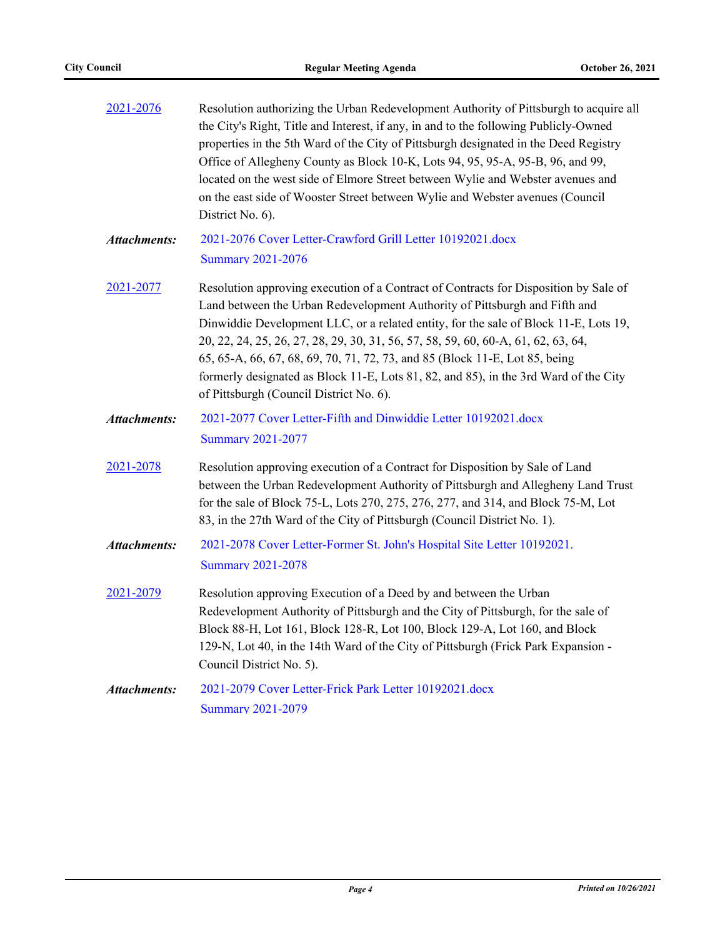| 2021-2076           | Resolution authorizing the Urban Redevelopment Authority of Pittsburgh to acquire all<br>the City's Right, Title and Interest, if any, in and to the following Publicly-Owned<br>properties in the 5th Ward of the City of Pittsburgh designated in the Deed Registry<br>Office of Allegheny County as Block 10-K, Lots 94, 95, 95-A, 95-B, 96, and 99,<br>located on the west side of Elmore Street between Wylie and Webster avenues and<br>on the east side of Wooster Street between Wylie and Webster avenues (Council<br>District No. 6).                   |  |
|---------------------|-------------------------------------------------------------------------------------------------------------------------------------------------------------------------------------------------------------------------------------------------------------------------------------------------------------------------------------------------------------------------------------------------------------------------------------------------------------------------------------------------------------------------------------------------------------------|--|
| <b>Attachments:</b> | 2021-2076 Cover Letter-Crawford Grill Letter 10192021.docx<br><b>Summary 2021-2076</b>                                                                                                                                                                                                                                                                                                                                                                                                                                                                            |  |
| 2021-2077           | Resolution approving execution of a Contract of Contracts for Disposition by Sale of<br>Land between the Urban Redevelopment Authority of Pittsburgh and Fifth and<br>Dinwiddie Development LLC, or a related entity, for the sale of Block 11-E, Lots 19,<br>20, 22, 24, 25, 26, 27, 28, 29, 30, 31, 56, 57, 58, 59, 60, 60-A, 61, 62, 63, 64,<br>65, 65-A, 66, 67, 68, 69, 70, 71, 72, 73, and 85 (Block 11-E, Lot 85, being<br>formerly designated as Block 11-E, Lots 81, 82, and 85), in the 3rd Ward of the City<br>of Pittsburgh (Council District No. 6). |  |
| <b>Attachments:</b> | 2021-2077 Cover Letter-Fifth and Dinwiddie Letter 10192021.docx<br><b>Summary 2021-2077</b>                                                                                                                                                                                                                                                                                                                                                                                                                                                                       |  |
| 2021-2078           | Resolution approving execution of a Contract for Disposition by Sale of Land<br>between the Urban Redevelopment Authority of Pittsburgh and Allegheny Land Trust<br>for the sale of Block 75-L, Lots 270, 275, 276, 277, and 314, and Block 75-M, Lot<br>83, in the 27th Ward of the City of Pittsburgh (Council District No. 1).                                                                                                                                                                                                                                 |  |
| Attachments:        | 2021-2078 Cover Letter-Former St. John's Hospital Site Letter 10192021.<br><b>Summary 2021-2078</b>                                                                                                                                                                                                                                                                                                                                                                                                                                                               |  |
| 2021-2079           | Resolution approving Execution of a Deed by and between the Urban<br>Redevelopment Authority of Pittsburgh and the City of Pittsburgh, for the sale of<br>Block 88-H, Lot 161, Block 128-R, Lot 100, Block 129-A, Lot 160, and Block<br>129-N, Lot 40, in the 14th Ward of the City of Pittsburgh (Frick Park Expansion -<br>Council District No. 5).                                                                                                                                                                                                             |  |
| <b>Attachments:</b> | 2021-2079 Cover Letter-Frick Park Letter 10192021.docx<br><b>Summary 2021-2079</b>                                                                                                                                                                                                                                                                                                                                                                                                                                                                                |  |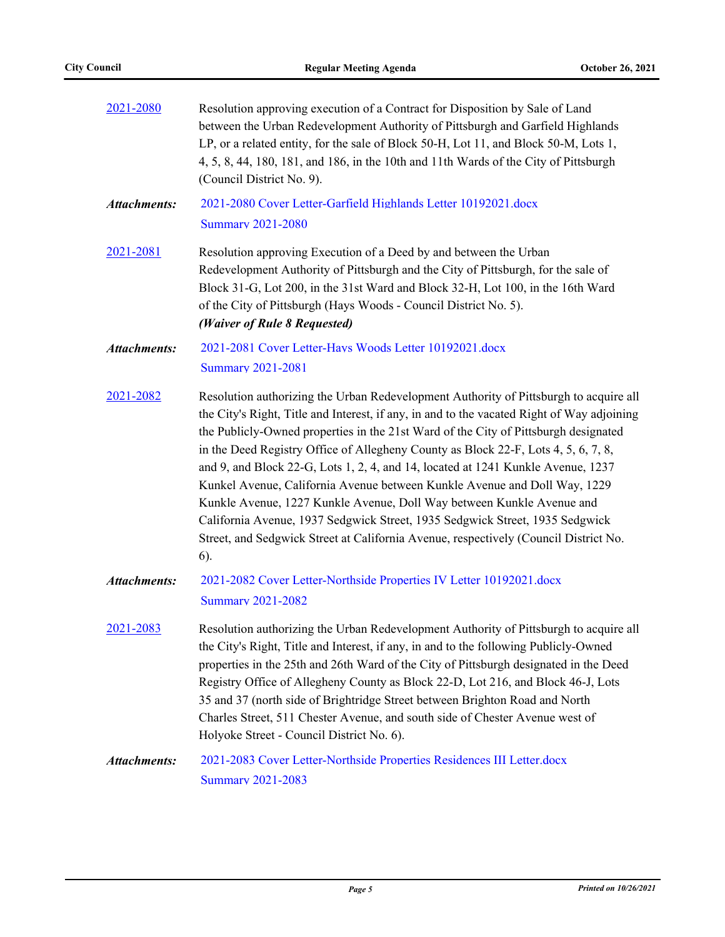| 2021-2080           | Resolution approving execution of a Contract for Disposition by Sale of Land<br>between the Urban Redevelopment Authority of Pittsburgh and Garfield Highlands<br>LP, or a related entity, for the sale of Block 50-H, Lot 11, and Block 50-M, Lots 1,<br>4, 5, 8, 44, 180, 181, and 186, in the 10th and 11th Wards of the City of Pittsburgh<br>(Council District No. 9).                                                                                                                                                                                                                                                                                                                                                                                                               |  |  |
|---------------------|-------------------------------------------------------------------------------------------------------------------------------------------------------------------------------------------------------------------------------------------------------------------------------------------------------------------------------------------------------------------------------------------------------------------------------------------------------------------------------------------------------------------------------------------------------------------------------------------------------------------------------------------------------------------------------------------------------------------------------------------------------------------------------------------|--|--|
| <b>Attachments:</b> | 2021-2080 Cover Letter-Garfield Highlands Letter 10192021.docx<br><b>Summary 2021-2080</b>                                                                                                                                                                                                                                                                                                                                                                                                                                                                                                                                                                                                                                                                                                |  |  |
| 2021-2081           | Resolution approving Execution of a Deed by and between the Urban<br>Redevelopment Authority of Pittsburgh and the City of Pittsburgh, for the sale of<br>Block 31-G, Lot 200, in the 31st Ward and Block 32-H, Lot 100, in the 16th Ward<br>of the City of Pittsburgh (Hays Woods - Council District No. 5).<br>(Waiver of Rule 8 Requested)                                                                                                                                                                                                                                                                                                                                                                                                                                             |  |  |
| <b>Attachments:</b> | 2021-2081 Cover Letter-Hays Woods Letter 10192021.docx<br><b>Summary 2021-2081</b>                                                                                                                                                                                                                                                                                                                                                                                                                                                                                                                                                                                                                                                                                                        |  |  |
| 2021-2082           | Resolution authorizing the Urban Redevelopment Authority of Pittsburgh to acquire all<br>the City's Right, Title and Interest, if any, in and to the vacated Right of Way adjoining<br>the Publicly-Owned properties in the 21st Ward of the City of Pittsburgh designated<br>in the Deed Registry Office of Allegheny County as Block 22-F, Lots 4, 5, 6, 7, 8,<br>and 9, and Block 22-G, Lots 1, 2, 4, and 14, located at 1241 Kunkle Avenue, 1237<br>Kunkel Avenue, California Avenue between Kunkle Avenue and Doll Way, 1229<br>Kunkle Avenue, 1227 Kunkle Avenue, Doll Way between Kunkle Avenue and<br>California Avenue, 1937 Sedgwick Street, 1935 Sedgwick Street, 1935 Sedgwick<br>Street, and Sedgwick Street at California Avenue, respectively (Council District No.<br>6). |  |  |
| <b>Attachments:</b> | 2021-2082 Cover Letter-Northside Properties IV Letter 10192021.docx<br><b>Summary 2021-2082</b>                                                                                                                                                                                                                                                                                                                                                                                                                                                                                                                                                                                                                                                                                           |  |  |
| 2021-2083           | Resolution authorizing the Urban Redevelopment Authority of Pittsburgh to acquire all<br>the City's Right, Title and Interest, if any, in and to the following Publicly-Owned<br>properties in the 25th and 26th Ward of the City of Pittsburgh designated in the Deed<br>Registry Office of Allegheny County as Block 22-D, Lot 216, and Block 46-J, Lots<br>35 and 37 (north side of Brightridge Street between Brighton Road and North<br>Charles Street, 511 Chester Avenue, and south side of Chester Avenue west of<br>Holyoke Street - Council District No. 6).                                                                                                                                                                                                                    |  |  |
| <b>Attachments:</b> | 2021-2083 Cover Letter-Northside Properties Residences III Letter.docx<br><b>Summary 2021-2083</b>                                                                                                                                                                                                                                                                                                                                                                                                                                                                                                                                                                                                                                                                                        |  |  |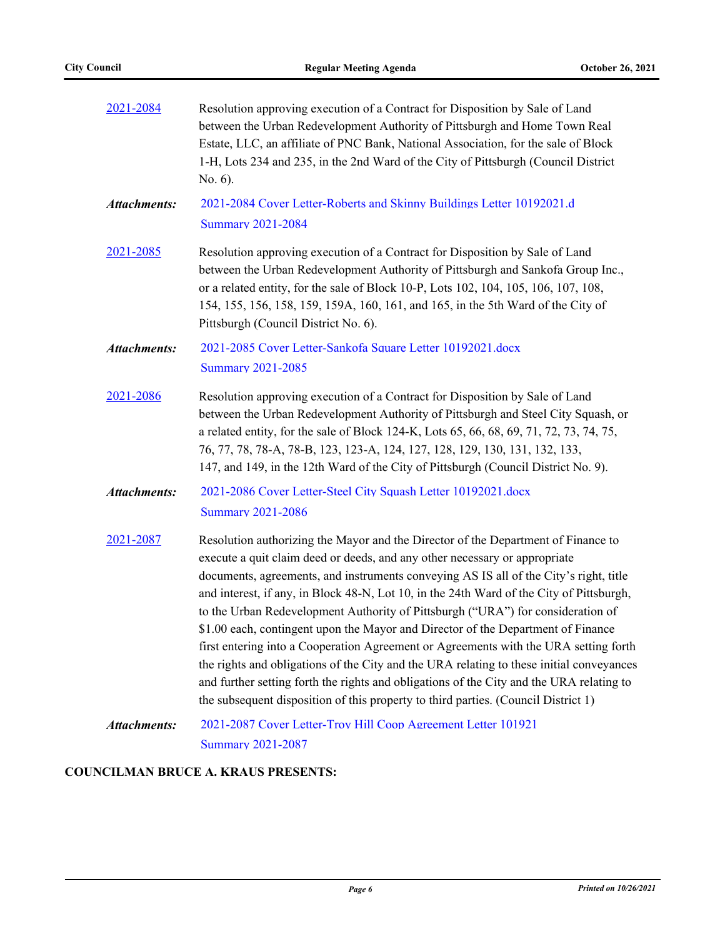| 2021-2084           | Resolution approving execution of a Contract for Disposition by Sale of Land<br>between the Urban Redevelopment Authority of Pittsburgh and Home Town Real<br>Estate, LLC, an affiliate of PNC Bank, National Association, for the sale of Block<br>1-H, Lots 234 and 235, in the 2nd Ward of the City of Pittsburgh (Council District<br>No. 6).                                                                                                                                                                                                                                                                                                                                                                                                                                                                                                                                                 |  |  |  |
|---------------------|---------------------------------------------------------------------------------------------------------------------------------------------------------------------------------------------------------------------------------------------------------------------------------------------------------------------------------------------------------------------------------------------------------------------------------------------------------------------------------------------------------------------------------------------------------------------------------------------------------------------------------------------------------------------------------------------------------------------------------------------------------------------------------------------------------------------------------------------------------------------------------------------------|--|--|--|
| <b>Attachments:</b> | 2021-2084 Cover Letter-Roberts and Skinny Buildings Letter 10192021.d<br><b>Summary 2021-2084</b>                                                                                                                                                                                                                                                                                                                                                                                                                                                                                                                                                                                                                                                                                                                                                                                                 |  |  |  |
| 2021-2085           | Resolution approving execution of a Contract for Disposition by Sale of Land<br>between the Urban Redevelopment Authority of Pittsburgh and Sankofa Group Inc.,<br>or a related entity, for the sale of Block 10-P, Lots 102, 104, 105, 106, 107, 108,<br>154, 155, 156, 158, 159, 159A, 160, 161, and 165, in the 5th Ward of the City of<br>Pittsburgh (Council District No. 6).                                                                                                                                                                                                                                                                                                                                                                                                                                                                                                                |  |  |  |
| <b>Attachments:</b> | 2021-2085 Cover Letter-Sankofa Square Letter 10192021.docx<br><b>Summary 2021-2085</b>                                                                                                                                                                                                                                                                                                                                                                                                                                                                                                                                                                                                                                                                                                                                                                                                            |  |  |  |
| 2021-2086           | Resolution approving execution of a Contract for Disposition by Sale of Land<br>between the Urban Redevelopment Authority of Pittsburgh and Steel City Squash, or<br>a related entity, for the sale of Block 124-K, Lots 65, 66, 68, 69, 71, 72, 73, 74, 75,<br>76, 77, 78, 78-A, 78-B, 123, 123-A, 124, 127, 128, 129, 130, 131, 132, 133,<br>147, and 149, in the 12th Ward of the City of Pittsburgh (Council District No. 9).                                                                                                                                                                                                                                                                                                                                                                                                                                                                 |  |  |  |
| <b>Attachments:</b> | 2021-2086 Cover Letter-Steel City Squash Letter 10192021.docx<br><b>Summary 2021-2086</b>                                                                                                                                                                                                                                                                                                                                                                                                                                                                                                                                                                                                                                                                                                                                                                                                         |  |  |  |
| 2021-2087           | Resolution authorizing the Mayor and the Director of the Department of Finance to<br>execute a quit claim deed or deeds, and any other necessary or appropriate<br>documents, agreements, and instruments conveying AS IS all of the City's right, title<br>and interest, if any, in Block 48-N, Lot 10, in the 24th Ward of the City of Pittsburgh,<br>to the Urban Redevelopment Authority of Pittsburgh ("URA") for consideration of<br>\$1.00 each, contingent upon the Mayor and Director of the Department of Finance<br>first entering into a Cooperation Agreement or Agreements with the URA setting forth<br>the rights and obligations of the City and the URA relating to these initial conveyances<br>and further setting forth the rights and obligations of the City and the URA relating to<br>the subsequent disposition of this property to third parties. (Council District 1) |  |  |  |
| <b>Attachments:</b> | 2021-2087 Cover Letter-Troy Hill Coop Agreement Letter 101921<br><b>Summary 2021-2087</b>                                                                                                                                                                                                                                                                                                                                                                                                                                                                                                                                                                                                                                                                                                                                                                                                         |  |  |  |

## **COUNCILMAN BRUCE A. KRAUS PRESENTS:**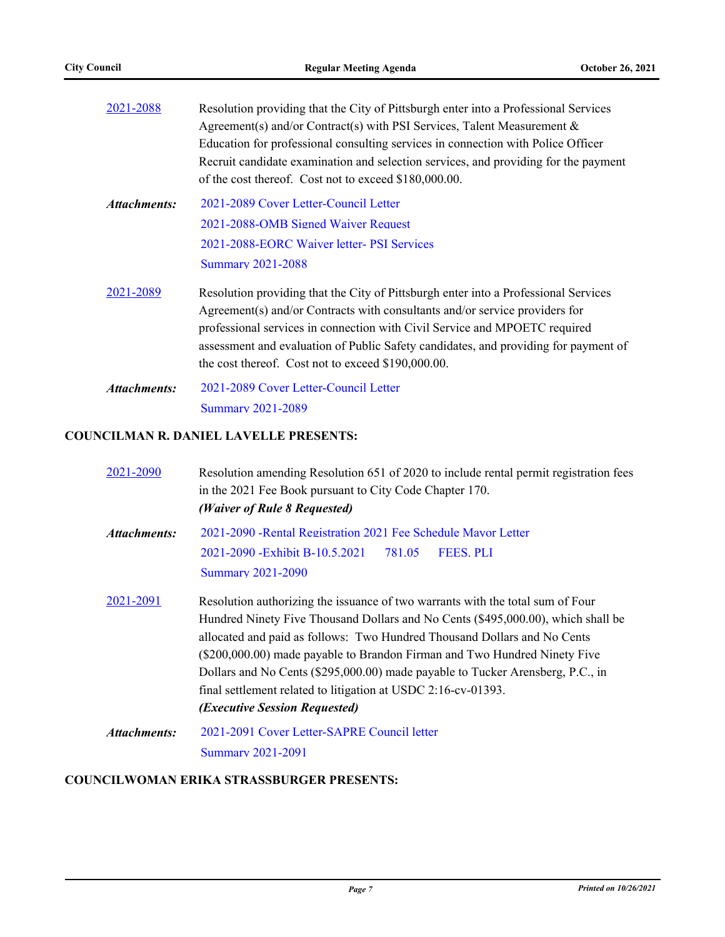| 2021-2088    | Resolution providing that the City of Pittsburgh enter into a Professional Services<br>Agreement(s) and/or Contract(s) with PSI Services, Talent Measurement $\&$<br>Education for professional consulting services in connection with Police Officer<br>Recruit candidate examination and selection services, and providing for the payment<br>of the cost thereof. Cost not to exceed \$180,000.00. |
|--------------|-------------------------------------------------------------------------------------------------------------------------------------------------------------------------------------------------------------------------------------------------------------------------------------------------------------------------------------------------------------------------------------------------------|
| Attachments: | 2021-2089 Cover Letter-Council Letter<br>2021-2088-OMB Signed Waiver Request<br>2021-2088-EORC Waiver letter- PSI Services                                                                                                                                                                                                                                                                            |
|              | <b>Summary 2021-2088</b>                                                                                                                                                                                                                                                                                                                                                                              |
| 2021-2089    | Resolution providing that the City of Pittsburgh enter into a Professional Services<br>Agreement(s) and/or Contracts with consultants and/or service providers for<br>professional services in connection with Civil Service and MPOETC required<br>assessment and evaluation of Public Safety candidates, and providing for payment of<br>the cost thereof. Cost not to exceed \$190,000.00.         |
| Attachments: | 2021-2089 Cover Letter-Council Letter<br><b>Summary 2021-2089</b>                                                                                                                                                                                                                                                                                                                                     |

## **COUNCILMAN R. DANIEL LAVELLE PRESENTS:**

| 2021-2090    | Resolution amending Resolution 651 of 2020 to include rental permit registration fees<br>in the 2021 Fee Book pursuant to City Code Chapter 170.<br>(Waiver of Rule 8 Requested)                                                                                                                                                                                                                                                                                                                                              |  |  |
|--------------|-------------------------------------------------------------------------------------------------------------------------------------------------------------------------------------------------------------------------------------------------------------------------------------------------------------------------------------------------------------------------------------------------------------------------------------------------------------------------------------------------------------------------------|--|--|
| Attachments: | 2021-2090 - Rental Registration 2021 Fee Schedule Mayor Letter<br>2021-2090 - Exhibit B-10.5.2021 781.05<br><b>FEES. PLI</b><br><b>Summary 2021-2090</b>                                                                                                                                                                                                                                                                                                                                                                      |  |  |
| 2021-2091    | Resolution authorizing the issuance of two warrants with the total sum of Four<br>Hundred Ninety Five Thousand Dollars and No Cents (\$495,000.00), which shall be<br>allocated and paid as follows: Two Hundred Thousand Dollars and No Cents<br>(\$200,000.00) made payable to Brandon Firman and Two Hundred Ninety Five<br>Dollars and No Cents (\$295,000.00) made payable to Tucker Arensberg, P.C., in<br>final settlement related to litigation at USDC 2:16-cv-01393.<br><i><b>(Executive Session Requested)</b></i> |  |  |
| Attachments: | 2021-2091 Cover Letter-SAPRE Council letter<br>Summary 2021-2091                                                                                                                                                                                                                                                                                                                                                                                                                                                              |  |  |

## **COUNCILWOMAN ERIKA STRASSBURGER PRESENTS:**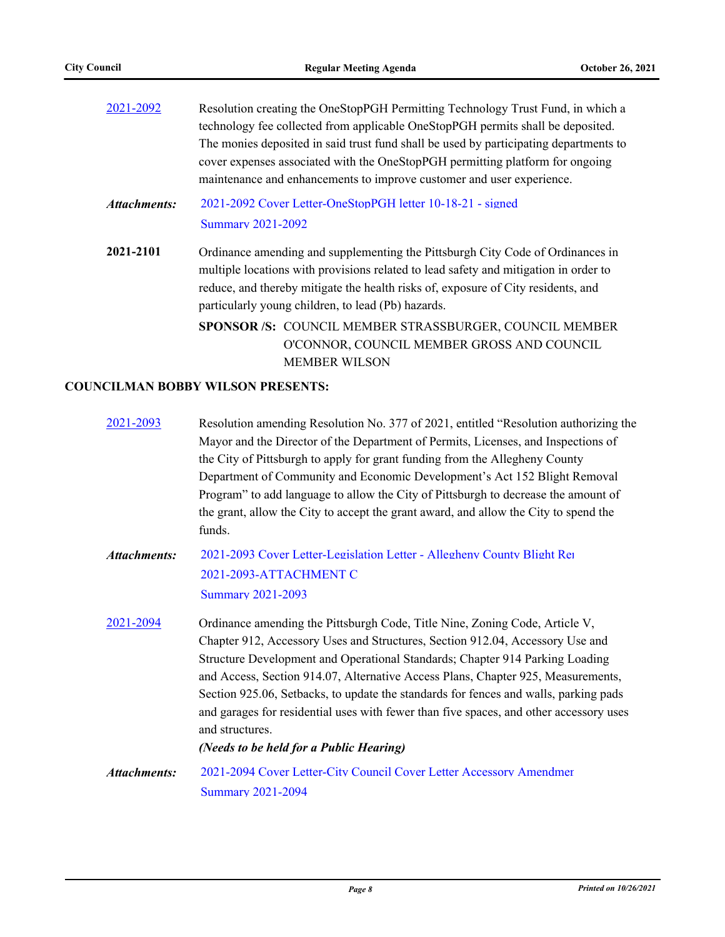| 2021-2092    | Resolution creating the OneStopPGH Permitting Technology Trust Fund, in which a       |  |  |
|--------------|---------------------------------------------------------------------------------------|--|--|
|              | technology fee collected from applicable OneStopPGH permits shall be deposited.       |  |  |
|              | The monies deposited in said trust fund shall be used by participating departments to |  |  |
|              | cover expenses associated with the OneStopPGH permitting platform for ongoing         |  |  |
|              | maintenance and enhancements to improve customer and user experience.                 |  |  |
| Attachments: | 2021-2092 Cover Letter-OneStopPGH letter 10-18-21 - signed                            |  |  |
|              | <b>Summary 2021-2092</b>                                                              |  |  |
| 2021-2101    | Ordinance amending and supplementing the Pittsburgh City Code of Ordinances in        |  |  |
|              | multiple locations with provisions related to lead safety and mitigation in order to  |  |  |
|              | reduce, and thereby mitigate the health risks of, exposure of City residents, and     |  |  |
|              | particularly young children, to lead (Pb) hazards.                                    |  |  |
|              | SPONSOR /S: COUNCIL MEMBER STRASSBURGER, COUNCIL MEMBER                               |  |  |
|              | O'CONNOR, COUNCIL MEMBER GROSS AND COUNCIL                                            |  |  |
|              | <b>MEMBER WILSON</b>                                                                  |  |  |

## **COUNCILMAN BOBBY WILSON PRESENTS:**

| 2021-2093           | Resolution amending Resolution No. 377 of 2021, entitled "Resolution authorizing the<br>Mayor and the Director of the Department of Permits, Licenses, and Inspections of<br>the City of Pittsburgh to apply for grant funding from the Allegheny County<br>Department of Community and Economic Development's Act 152 Blight Removal<br>Program" to add language to allow the City of Pittsburgh to decrease the amount of<br>the grant, allow the City to accept the grant award, and allow the City to spend the<br>funds.                                                    |
|---------------------|----------------------------------------------------------------------------------------------------------------------------------------------------------------------------------------------------------------------------------------------------------------------------------------------------------------------------------------------------------------------------------------------------------------------------------------------------------------------------------------------------------------------------------------------------------------------------------|
| <b>Attachments:</b> | 2021-2093 Cover Letter-Legislation Letter - Allegheny County Blight Re<br>2021-2093-ATTACHMENT C<br><b>Summary 2021-2093</b>                                                                                                                                                                                                                                                                                                                                                                                                                                                     |
| 2021-2094           | Ordinance amending the Pittsburgh Code, Title Nine, Zoning Code, Article V,<br>Chapter 912, Accessory Uses and Structures, Section 912.04, Accessory Use and<br>Structure Development and Operational Standards; Chapter 914 Parking Loading<br>and Access, Section 914.07, Alternative Access Plans, Chapter 925, Measurements,<br>Section 925.06, Setbacks, to update the standards for fences and walls, parking pads<br>and garages for residential uses with fewer than five spaces, and other accessory uses<br>and structures.<br>(Needs to be held for a Public Hearing) |
| Attachments:        | 2021-2094 Cover Letter-City Council Cover Letter Accessory Amendmer<br><b>Summary 2021-2094</b>                                                                                                                                                                                                                                                                                                                                                                                                                                                                                  |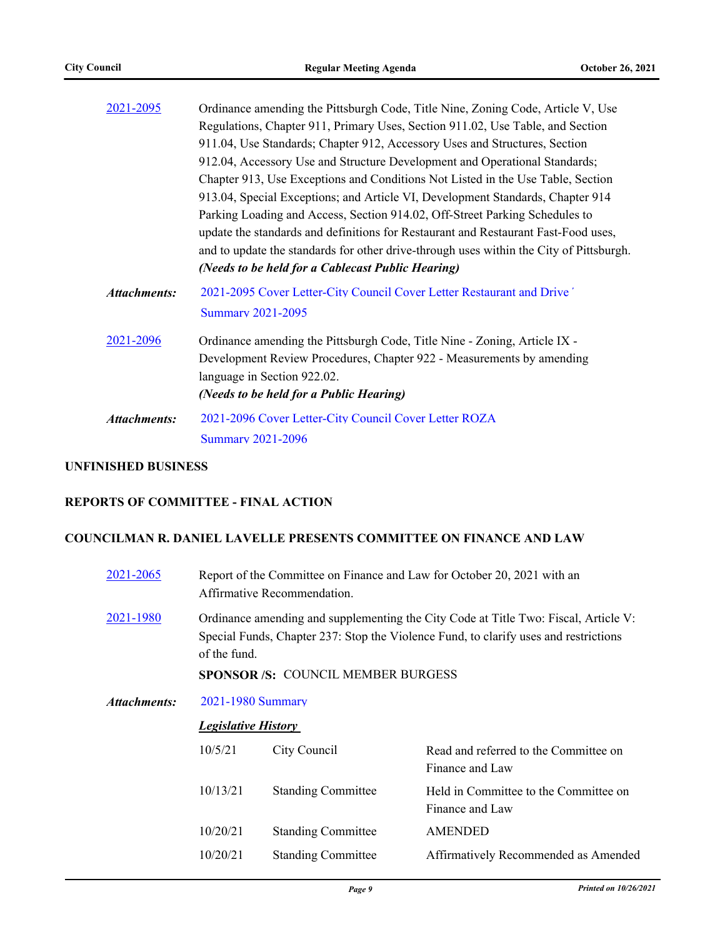| 2021-2095           | Ordinance amending the Pittsburgh Code, Title Nine, Zoning Code, Article V, Use         |  |  |  |
|---------------------|-----------------------------------------------------------------------------------------|--|--|--|
|                     | Regulations, Chapter 911, Primary Uses, Section 911.02, Use Table, and Section          |  |  |  |
|                     | 911.04, Use Standards; Chapter 912, Accessory Uses and Structures, Section              |  |  |  |
|                     | 912.04, Accessory Use and Structure Development and Operational Standards;              |  |  |  |
|                     | Chapter 913, Use Exceptions and Conditions Not Listed in the Use Table, Section         |  |  |  |
|                     | 913.04, Special Exceptions; and Article VI, Development Standards, Chapter 914          |  |  |  |
|                     | Parking Loading and Access, Section 914.02, Off-Street Parking Schedules to             |  |  |  |
|                     | update the standards and definitions for Restaurant and Restaurant Fast-Food uses,      |  |  |  |
|                     | and to update the standards for other drive-through uses within the City of Pittsburgh. |  |  |  |
|                     | (Needs to be held for a Cablecast Public Hearing)                                       |  |  |  |
| <b>Attachments:</b> | 2021-2095 Cover Letter-City Council Cover Letter Restaurant and Drive'                  |  |  |  |
|                     | <b>Summary 2021-2095</b>                                                                |  |  |  |
| 2021-2096           | Ordinance amending the Pittsburgh Code, Title Nine - Zoning, Article IX -               |  |  |  |
|                     | Development Review Procedures, Chapter 922 - Measurements by amending                   |  |  |  |
|                     | language in Section 922.02.                                                             |  |  |  |
|                     | (Needs to be held for a Public Hearing)                                                 |  |  |  |
| <b>Attachments:</b> | 2021-2096 Cover Letter-City Council Cover Letter ROZA                                   |  |  |  |
|                     | <b>Summary 2021-2096</b>                                                                |  |  |  |
|                     |                                                                                         |  |  |  |

#### **UNFINISHED BUSINESS**

## **REPORTS OF COMMITTEE - FINAL ACTION**

#### **COUNCILMAN R. DANIEL LAVELLE PRESENTS COMMITTEE ON FINANCE AND LAW**

| 2021-2065    | Report of the Committee on Finance and Law for October 20, 2021 with an<br>Affirmative Recommendation.                                                                                                                                  |                           |                                                          |
|--------------|-----------------------------------------------------------------------------------------------------------------------------------------------------------------------------------------------------------------------------------------|---------------------------|----------------------------------------------------------|
| 2021-1980    | Ordinance amending and supplementing the City Code at Title Two: Fiscal, Article V:<br>Special Funds, Chapter 237: Stop the Violence Fund, to clarify uses and restrictions<br>of the fund.<br><b>SPONSOR/S: COUNCIL MEMBER BURGESS</b> |                           |                                                          |
| Attachments: | 2021-1980 Summary                                                                                                                                                                                                                       |                           |                                                          |
|              | <b>Legislative History</b>                                                                                                                                                                                                              |                           |                                                          |
|              | 10/5/21                                                                                                                                                                                                                                 | City Council              | Read and referred to the Committee on<br>Finance and Law |
|              | 10/13/21                                                                                                                                                                                                                                | <b>Standing Committee</b> | Held in Committee to the Committee on<br>Finance and Law |
|              | 10/20/21                                                                                                                                                                                                                                | <b>Standing Committee</b> | <b>AMENDED</b>                                           |
|              | 10/20/21                                                                                                                                                                                                                                | <b>Standing Committee</b> | Affirmatively Recommended as Amended                     |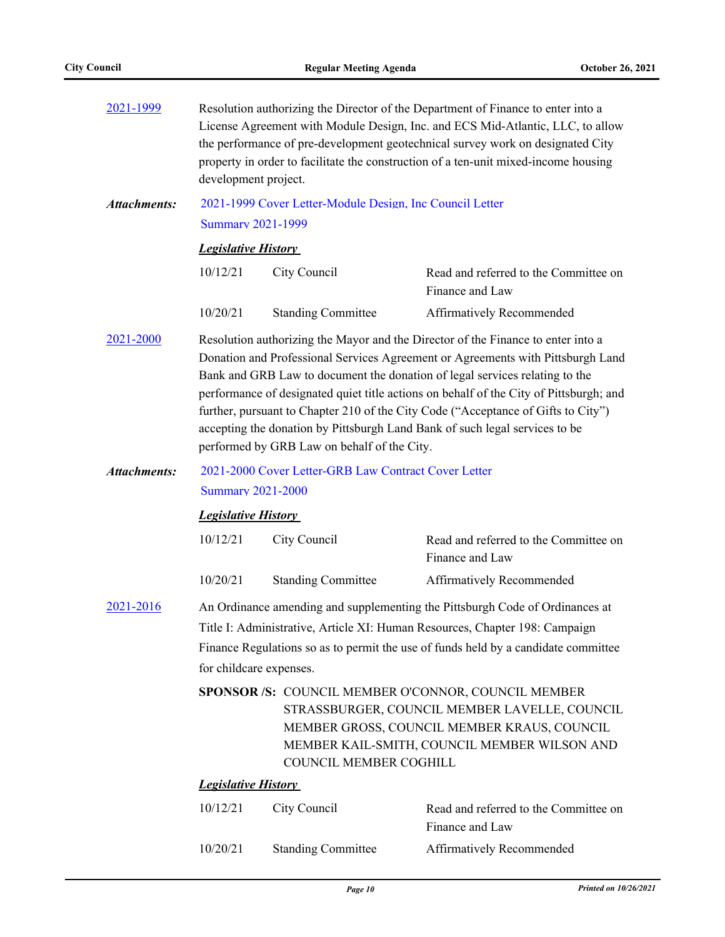| 2021-1999           | Resolution authorizing the Director of the Department of Finance to enter into a<br>License Agreement with Module Design, Inc. and ECS Mid-Atlantic, LLC, to allow<br>the performance of pre-development geotechnical survey work on designated City<br>property in order to facilitate the construction of a ten-unit mixed-income housing<br>development project.                                                                                                                                                                                             |                                                          |                                                          |  |
|---------------------|-----------------------------------------------------------------------------------------------------------------------------------------------------------------------------------------------------------------------------------------------------------------------------------------------------------------------------------------------------------------------------------------------------------------------------------------------------------------------------------------------------------------------------------------------------------------|----------------------------------------------------------|----------------------------------------------------------|--|
| <b>Attachments:</b> |                                                                                                                                                                                                                                                                                                                                                                                                                                                                                                                                                                 | 2021-1999 Cover Letter-Module Design, Inc Council Letter |                                                          |  |
|                     | <b>Summary 2021-1999</b>                                                                                                                                                                                                                                                                                                                                                                                                                                                                                                                                        |                                                          |                                                          |  |
|                     | <b>Legislative History</b>                                                                                                                                                                                                                                                                                                                                                                                                                                                                                                                                      |                                                          |                                                          |  |
|                     | 10/12/21                                                                                                                                                                                                                                                                                                                                                                                                                                                                                                                                                        | City Council                                             | Read and referred to the Committee on<br>Finance and Law |  |
|                     | 10/20/21                                                                                                                                                                                                                                                                                                                                                                                                                                                                                                                                                        | <b>Standing Committee</b>                                | Affirmatively Recommended                                |  |
| 2021-2000           | Resolution authorizing the Mayor and the Director of the Finance to enter into a<br>Donation and Professional Services Agreement or Agreements with Pittsburgh Land<br>Bank and GRB Law to document the donation of legal services relating to the<br>performance of designated quiet title actions on behalf of the City of Pittsburgh; and<br>further, pursuant to Chapter 210 of the City Code ("Acceptance of Gifts to City")<br>accepting the donation by Pittsburgh Land Bank of such legal services to be<br>performed by GRB Law on behalf of the City. |                                                          |                                                          |  |
| <b>Attachments:</b> | 2021-2000 Cover Letter-GRB Law Contract Cover Letter<br><b>Summary 2021-2000</b>                                                                                                                                                                                                                                                                                                                                                                                                                                                                                |                                                          |                                                          |  |
|                     | <b>Legislative History</b>                                                                                                                                                                                                                                                                                                                                                                                                                                                                                                                                      |                                                          |                                                          |  |
|                     |                                                                                                                                                                                                                                                                                                                                                                                                                                                                                                                                                                 |                                                          |                                                          |  |
|                     | 10/12/21                                                                                                                                                                                                                                                                                                                                                                                                                                                                                                                                                        | City Council                                             | Read and referred to the Committee on<br>Finance and Law |  |
|                     | 10/20/21                                                                                                                                                                                                                                                                                                                                                                                                                                                                                                                                                        | <b>Standing Committee</b>                                | Affirmatively Recommended                                |  |
| 2021-2016           | An Ordinance amending and supplementing the Pittsburgh Code of Ordinances at                                                                                                                                                                                                                                                                                                                                                                                                                                                                                    |                                                          |                                                          |  |
|                     | Title I: Administrative, Article XI: Human Resources, Chapter 198: Campaign                                                                                                                                                                                                                                                                                                                                                                                                                                                                                     |                                                          |                                                          |  |
|                     | Finance Regulations so as to permit the use of funds held by a candidate committee                                                                                                                                                                                                                                                                                                                                                                                                                                                                              |                                                          |                                                          |  |
|                     | for childcare expenses.                                                                                                                                                                                                                                                                                                                                                                                                                                                                                                                                         |                                                          |                                                          |  |
|                     | SPONSOR /S: COUNCIL MEMBER O'CONNOR, COUNCIL MEMBER<br>STRASSBURGER, COUNCIL MEMBER LAVELLE, COUNCIL<br>MEMBER GROSS, COUNCIL MEMBER KRAUS, COUNCIL<br>MEMBER KAIL-SMITH, COUNCIL MEMBER WILSON AND<br>COUNCIL MEMBER COGHILL                                                                                                                                                                                                                                                                                                                                   |                                                          |                                                          |  |
|                     | <b>Legislative History</b>                                                                                                                                                                                                                                                                                                                                                                                                                                                                                                                                      |                                                          |                                                          |  |
|                     | 10/12/21                                                                                                                                                                                                                                                                                                                                                                                                                                                                                                                                                        | City Council                                             | Read and referred to the Committee on<br>Finance and Law |  |
|                     | 10/20/21                                                                                                                                                                                                                                                                                                                                                                                                                                                                                                                                                        | <b>Standing Committee</b>                                | Affirmatively Recommended                                |  |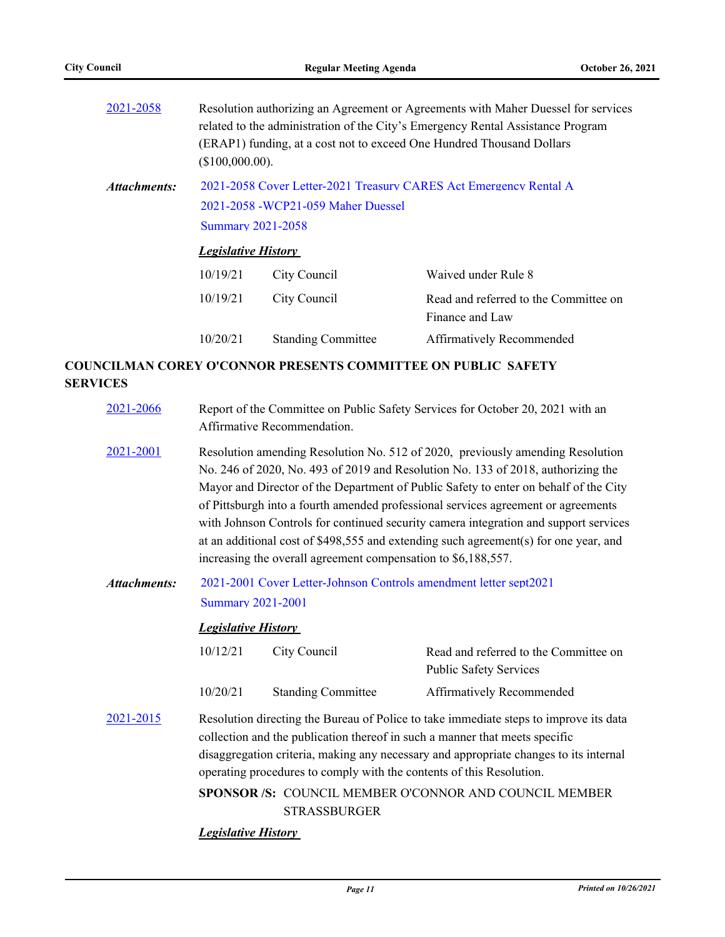| 2021-2058    |                                                                                                                                                                    | Resolution authorizing an Agreement or Agreements with Maher Duessel for services<br>related to the administration of the City's Emergency Rental Assistance Program<br>(ERAP1) funding, at a cost not to exceed One Hundred Thousand Dollars<br>(\$100,000.00). |                                                          |  |  |
|--------------|--------------------------------------------------------------------------------------------------------------------------------------------------------------------|------------------------------------------------------------------------------------------------------------------------------------------------------------------------------------------------------------------------------------------------------------------|----------------------------------------------------------|--|--|
| Attachments: | 2021-2058 Cover Letter-2021 Treasury CARES Act Emergency Rental A<br>2021-2058 - WCP21-059 Maher Duessel<br><b>Summary 2021-2058</b><br><b>Legislative History</b> |                                                                                                                                                                                                                                                                  |                                                          |  |  |
|              | 10/19/21                                                                                                                                                           | City Council                                                                                                                                                                                                                                                     | Waived under Rule 8                                      |  |  |
|              | 10/19/21                                                                                                                                                           | City Council                                                                                                                                                                                                                                                     | Read and referred to the Committee on<br>Finance and Law |  |  |
|              | 10/20/21                                                                                                                                                           | <b>Standing Committee</b>                                                                                                                                                                                                                                        | Affirmatively Recommended                                |  |  |
|              |                                                                                                                                                                    |                                                                                                                                                                                                                                                                  |                                                          |  |  |

## **COUNCILMAN COREY O'CONNOR PRESENTS COMMITTEE ON PUBLIC SAFETY SERVICES**

| 2021-2066           | Report of the Committee on Public Safety Services for October 20, 2021 with an<br>Affirmative Recommendation.                                                                                                                                                                                                                                                                                                                                                                                                                                                                                    |                           |                                                                        |  |
|---------------------|--------------------------------------------------------------------------------------------------------------------------------------------------------------------------------------------------------------------------------------------------------------------------------------------------------------------------------------------------------------------------------------------------------------------------------------------------------------------------------------------------------------------------------------------------------------------------------------------------|---------------------------|------------------------------------------------------------------------|--|
| 2021-2001           | Resolution amending Resolution No. 512 of 2020, previously amending Resolution<br>No. 246 of 2020, No. 493 of 2019 and Resolution No. 133 of 2018, authorizing the<br>Mayor and Director of the Department of Public Safety to enter on behalf of the City<br>of Pittsburgh into a fourth amended professional services agreement or agreements<br>with Johnson Controls for continued security camera integration and support services<br>at an additional cost of \$498,555 and extending such agreement(s) for one year, and<br>increasing the overall agreement compensation to \$6,188,557. |                           |                                                                        |  |
| <b>Attachments:</b> | 2021-2001 Cover Letter-Johnson Controls amendment letter sept2021<br><b>Summary 2021-2001</b><br><b>Legislative History</b>                                                                                                                                                                                                                                                                                                                                                                                                                                                                      |                           |                                                                        |  |
|                     | 10/12/21                                                                                                                                                                                                                                                                                                                                                                                                                                                                                                                                                                                         | City Council              | Read and referred to the Committee on<br><b>Public Safety Services</b> |  |
|                     | 10/20/21                                                                                                                                                                                                                                                                                                                                                                                                                                                                                                                                                                                         | <b>Standing Committee</b> | Affirmatively Recommended                                              |  |
| 2021-2015           | Resolution directing the Bureau of Police to take immediate steps to improve its data<br>collection and the publication thereof in such a manner that meets specific<br>disaggregation criteria, making any necessary and appropriate changes to its internal<br>operating procedures to comply with the contents of this Resolution.                                                                                                                                                                                                                                                            |                           |                                                                        |  |
|                     | <b>SPONSOR/S: COUNCIL MEMBER O'CONNOR AND COUNCIL MEMBER</b><br><b>STRASSBURGER</b>                                                                                                                                                                                                                                                                                                                                                                                                                                                                                                              |                           |                                                                        |  |
|                     | <b>Legislative History</b>                                                                                                                                                                                                                                                                                                                                                                                                                                                                                                                                                                       |                           |                                                                        |  |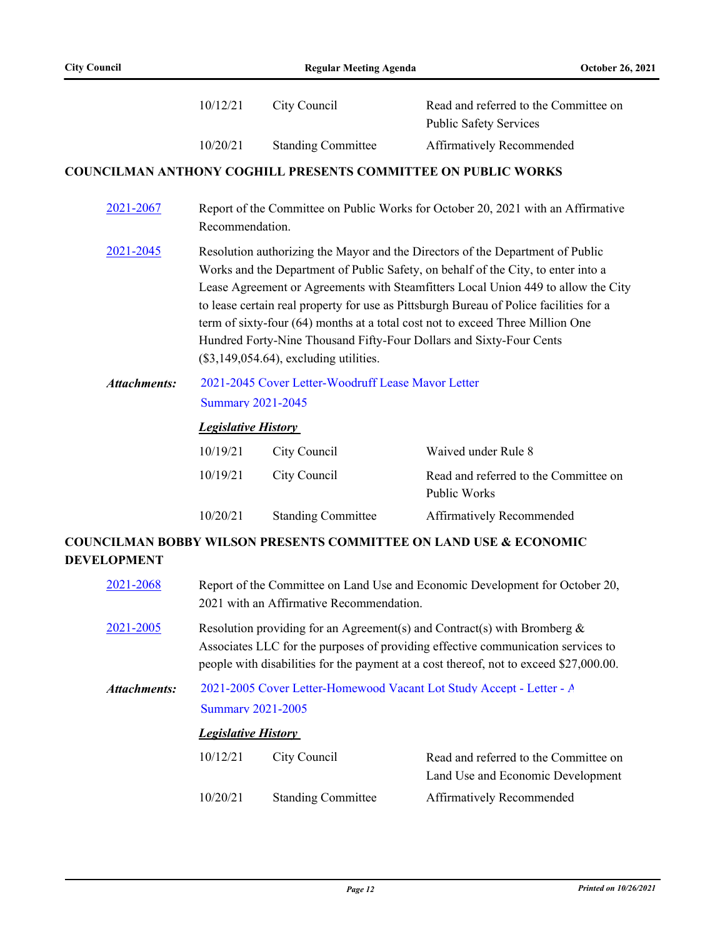|                     | 10/12/21                                                                                                                                                                                                                                                                                                                                                                                                                                                                                                                                                 | City Council              | Read and referred to the Committee on<br><b>Public Safety Services</b>       |  |
|---------------------|----------------------------------------------------------------------------------------------------------------------------------------------------------------------------------------------------------------------------------------------------------------------------------------------------------------------------------------------------------------------------------------------------------------------------------------------------------------------------------------------------------------------------------------------------------|---------------------------|------------------------------------------------------------------------------|--|
|                     | 10/20/21                                                                                                                                                                                                                                                                                                                                                                                                                                                                                                                                                 | <b>Standing Committee</b> | Affirmatively Recommended                                                    |  |
|                     |                                                                                                                                                                                                                                                                                                                                                                                                                                                                                                                                                          |                           | <b>COUNCILMAN ANTHONY COGHILL PRESENTS COMMITTEE ON PUBLIC WORKS</b>         |  |
| 2021-2067           | Report of the Committee on Public Works for October 20, 2021 with an Affirmative<br>Recommendation.                                                                                                                                                                                                                                                                                                                                                                                                                                                      |                           |                                                                              |  |
| 2021-2045           | Resolution authorizing the Mayor and the Directors of the Department of Public<br>Works and the Department of Public Safety, on behalf of the City, to enter into a<br>Lease Agreement or Agreements with Steamfitters Local Union 449 to allow the City<br>to lease certain real property for use as Pittsburgh Bureau of Police facilities for a<br>term of sixty-four (64) months at a total cost not to exceed Three Million One<br>Hundred Forty-Nine Thousand Fifty-Four Dollars and Sixty-Four Cents<br>$(\$3,149,054.64)$ , excluding utilities. |                           |                                                                              |  |
| <b>Attachments:</b> | 2021-2045 Cover Letter-Woodruff Lease Mayor Letter<br><b>Summary 2021-2045</b>                                                                                                                                                                                                                                                                                                                                                                                                                                                                           |                           |                                                                              |  |
|                     | <b>Legislative History</b>                                                                                                                                                                                                                                                                                                                                                                                                                                                                                                                               |                           |                                                                              |  |
|                     | 10/19/21                                                                                                                                                                                                                                                                                                                                                                                                                                                                                                                                                 | City Council              | Waived under Rule 8                                                          |  |
|                     | 10/19/21                                                                                                                                                                                                                                                                                                                                                                                                                                                                                                                                                 | City Council              | Read and referred to the Committee on<br>Public Works                        |  |
|                     | 10/20/21                                                                                                                                                                                                                                                                                                                                                                                                                                                                                                                                                 | <b>Standing Committee</b> | Affirmatively Recommended                                                    |  |
| <b>DEVELOPMENT</b>  |                                                                                                                                                                                                                                                                                                                                                                                                                                                                                                                                                          |                           | <b>COUNCILMAN BOBBY WILSON PRESENTS COMMITTEE ON LAND USE &amp; ECONOMIC</b> |  |
| 2021-2068           | Report of the Committee on Land Use and Economic Development for October 20,<br>2021 with an Affirmative Recommendation.                                                                                                                                                                                                                                                                                                                                                                                                                                 |                           |                                                                              |  |

- [2021-2005](http://pittsburgh.legistar.com/gateway.aspx?m=l&id=/matter.aspx?key=26881) Resolution providing for an Agreement(s) and Contract(s) with Bromberg & Associates LLC for the purposes of providing effective communication services to people with disabilities for the payment at a cost thereof, not to exceed \$27,000.00.
- [2021-2005 Cover Letter-Homewood Vacant Lot Study Accept Letter A](http://pittsburgh.legistar.com/gateway.aspx?M=F&ID=a072d5f2-1333-4db8-9fe6-1838ec8e75bd.docx) [Summary 2021-2005](http://pittsburgh.legistar.com/gateway.aspx?M=F&ID=5e7534f0-a1b1-4c83-8e14-7f135074a2e8.docx) *Attachments:*

### *Legislative History*

| 10/12/21 | City Council              | Read and referred to the Committee on |
|----------|---------------------------|---------------------------------------|
|          |                           | Land Use and Economic Development     |
| 10/20/21 | <b>Standing Committee</b> | Affirmatively Recommended             |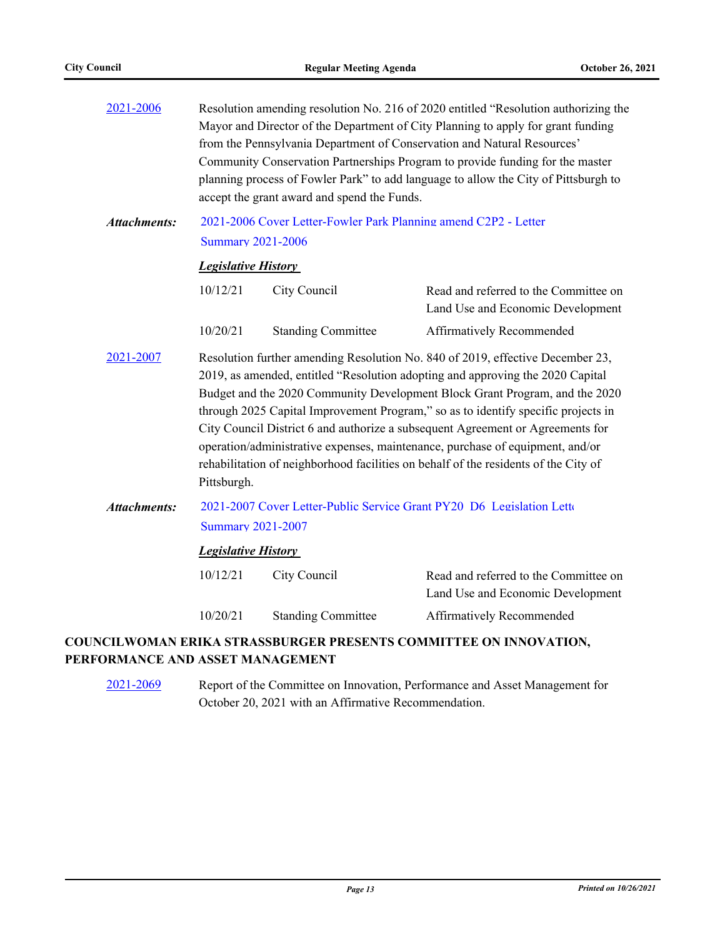| 2021-2006           | Resolution amending resolution No. 216 of 2020 entitled "Resolution authorizing the<br>Mayor and Director of the Department of City Planning to apply for grant funding<br>from the Pennsylvania Department of Conservation and Natural Resources'<br>Community Conservation Partnerships Program to provide funding for the master<br>planning process of Fowler Park" to add language to allow the City of Pittsburgh to<br>accept the grant award and spend the Funds.                                                                                                                                     |                           |                                                                            |  |
|---------------------|---------------------------------------------------------------------------------------------------------------------------------------------------------------------------------------------------------------------------------------------------------------------------------------------------------------------------------------------------------------------------------------------------------------------------------------------------------------------------------------------------------------------------------------------------------------------------------------------------------------|---------------------------|----------------------------------------------------------------------------|--|
| <b>Attachments:</b> | 2021-2006 Cover Letter-Fowler Park Planning amend C2P2 - Letter<br><b>Summary 2021-2006</b>                                                                                                                                                                                                                                                                                                                                                                                                                                                                                                                   |                           |                                                                            |  |
|                     | <b>Legislative History</b>                                                                                                                                                                                                                                                                                                                                                                                                                                                                                                                                                                                    |                           |                                                                            |  |
|                     | 10/12/21                                                                                                                                                                                                                                                                                                                                                                                                                                                                                                                                                                                                      | City Council              | Read and referred to the Committee on<br>Land Use and Economic Development |  |
|                     | 10/20/21                                                                                                                                                                                                                                                                                                                                                                                                                                                                                                                                                                                                      | <b>Standing Committee</b> | Affirmatively Recommended                                                  |  |
| 2021-2007           | Resolution further amending Resolution No. 840 of 2019, effective December 23,<br>2019, as amended, entitled "Resolution adopting and approving the 2020 Capital<br>Budget and the 2020 Community Development Block Grant Program, and the 2020<br>through 2025 Capital Improvement Program," so as to identify specific projects in<br>City Council District 6 and authorize a subsequent Agreement or Agreements for<br>operation/administrative expenses, maintenance, purchase of equipment, and/or<br>rehabilitation of neighborhood facilities on behalf of the residents of the City of<br>Pittsburgh. |                           |                                                                            |  |
| <b>Attachments:</b> | 2021-2007 Cover Letter-Public Service Grant PY20 D6 Legislation Letto<br><b>Summary 2021-2007</b>                                                                                                                                                                                                                                                                                                                                                                                                                                                                                                             |                           |                                                                            |  |
|                     | <b>Legislative History</b>                                                                                                                                                                                                                                                                                                                                                                                                                                                                                                                                                                                    |                           |                                                                            |  |
|                     | 10/12/21                                                                                                                                                                                                                                                                                                                                                                                                                                                                                                                                                                                                      | City Council              | Read and referred to the Committee on<br>Land Use and Economic Development |  |
|                     | 10/20/21                                                                                                                                                                                                                                                                                                                                                                                                                                                                                                                                                                                                      | <b>Standing Committee</b> | Affirmatively Recommended                                                  |  |
|                     |                                                                                                                                                                                                                                                                                                                                                                                                                                                                                                                                                                                                               |                           | COUNCILWOMAN ERIKA STRASSBURGER PRESENTS COMMITTEE ON INNOVATION,          |  |

## **PERFORMANCE AND ASSET MANAGEMENT**

[2021-2069](http://pittsburgh.legistar.com/gateway.aspx?m=l&id=/matter.aspx?key=26947) Report of the Committee on Innovation, Performance and Asset Management for October 20, 2021 with an Affirmative Recommendation.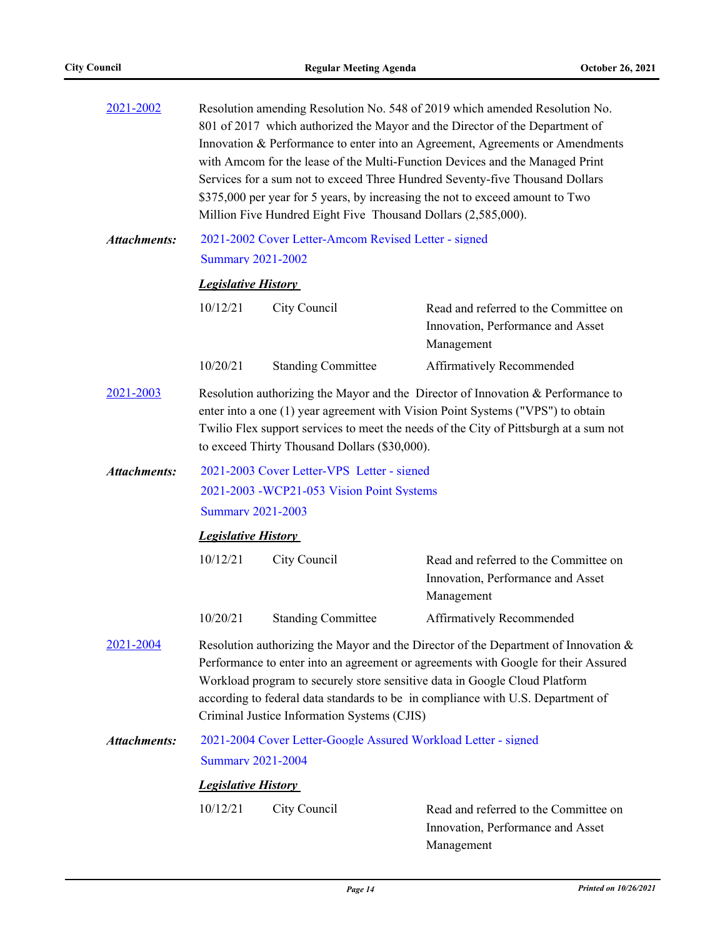| 2021-2002           | Resolution amending Resolution No. 548 of 2019 which amended Resolution No.<br>801 of 2017 which authorized the Mayor and the Director of the Department of<br>Innovation & Performance to enter into an Agreement, Agreements or Amendments<br>with Amcom for the lease of the Multi-Function Devices and the Managed Print<br>Services for a sum not to exceed Three Hundred Seventy-five Thousand Dollars<br>\$375,000 per year for 5 years, by increasing the not to exceed amount to Two<br>Million Five Hundred Eight Five Thousand Dollars (2,585,000). |                                                                                  |                                                                                          |  |  |  |  |
|---------------------|----------------------------------------------------------------------------------------------------------------------------------------------------------------------------------------------------------------------------------------------------------------------------------------------------------------------------------------------------------------------------------------------------------------------------------------------------------------------------------------------------------------------------------------------------------------|----------------------------------------------------------------------------------|------------------------------------------------------------------------------------------|--|--|--|--|
| <b>Attachments:</b> |                                                                                                                                                                                                                                                                                                                                                                                                                                                                                                                                                                | 2021-2002 Cover Letter-Amcom Revised Letter - signed<br><b>Summary 2021-2002</b> |                                                                                          |  |  |  |  |
|                     |                                                                                                                                                                                                                                                                                                                                                                                                                                                                                                                                                                | <b>Legislative History</b>                                                       |                                                                                          |  |  |  |  |
|                     | 10/12/21                                                                                                                                                                                                                                                                                                                                                                                                                                                                                                                                                       | City Council                                                                     | Read and referred to the Committee on<br>Innovation, Performance and Asset<br>Management |  |  |  |  |
|                     | 10/20/21                                                                                                                                                                                                                                                                                                                                                                                                                                                                                                                                                       | <b>Standing Committee</b>                                                        | Affirmatively Recommended                                                                |  |  |  |  |
| 2021-2003           | Resolution authorizing the Mayor and the Director of Innovation & Performance to<br>enter into a one (1) year agreement with Vision Point Systems ("VPS") to obtain<br>Twilio Flex support services to meet the needs of the City of Pittsburgh at a sum not<br>to exceed Thirty Thousand Dollars (\$30,000).                                                                                                                                                                                                                                                  |                                                                                  |                                                                                          |  |  |  |  |
| <b>Attachments:</b> |                                                                                                                                                                                                                                                                                                                                                                                                                                                                                                                                                                | 2021-2003 Cover Letter-VPS Letter - signed                                       |                                                                                          |  |  |  |  |
|                     | 2021-2003 - WCP21-053 Vision Point Systems                                                                                                                                                                                                                                                                                                                                                                                                                                                                                                                     |                                                                                  |                                                                                          |  |  |  |  |
|                     | <b>Summary 2021-2003</b>                                                                                                                                                                                                                                                                                                                                                                                                                                                                                                                                       |                                                                                  |                                                                                          |  |  |  |  |
|                     | <b>Legislative History</b>                                                                                                                                                                                                                                                                                                                                                                                                                                                                                                                                     |                                                                                  |                                                                                          |  |  |  |  |
|                     | 10/12/21                                                                                                                                                                                                                                                                                                                                                                                                                                                                                                                                                       | City Council                                                                     | Read and referred to the Committee on<br>Innovation, Performance and Asset<br>Management |  |  |  |  |
|                     | 10/20/21                                                                                                                                                                                                                                                                                                                                                                                                                                                                                                                                                       | <b>Standing Committee</b>                                                        | <b>Affirmatively Recommended</b>                                                         |  |  |  |  |
| 2021-2004           | Resolution authorizing the Mayor and the Director of the Department of Innovation $\&$<br>Performance to enter into an agreement or agreements with Google for their Assured<br>Workload program to securely store sensitive data in Google Cloud Platform<br>according to federal data standards to be in compliance with U.S. Department of<br>Criminal Justice Information Systems (CJIS)                                                                                                                                                                   |                                                                                  |                                                                                          |  |  |  |  |
| <b>Attachments:</b> | 2021-2004 Cover Letter-Google Assured Workload Letter - signed                                                                                                                                                                                                                                                                                                                                                                                                                                                                                                 |                                                                                  |                                                                                          |  |  |  |  |
|                     | <b>Summary 2021-2004</b>                                                                                                                                                                                                                                                                                                                                                                                                                                                                                                                                       |                                                                                  |                                                                                          |  |  |  |  |
|                     | <b>Legislative History</b>                                                                                                                                                                                                                                                                                                                                                                                                                                                                                                                                     |                                                                                  |                                                                                          |  |  |  |  |
|                     | 10/12/21                                                                                                                                                                                                                                                                                                                                                                                                                                                                                                                                                       | City Council                                                                     | Read and referred to the Committee on<br>Innovation, Performance and Asset<br>Management |  |  |  |  |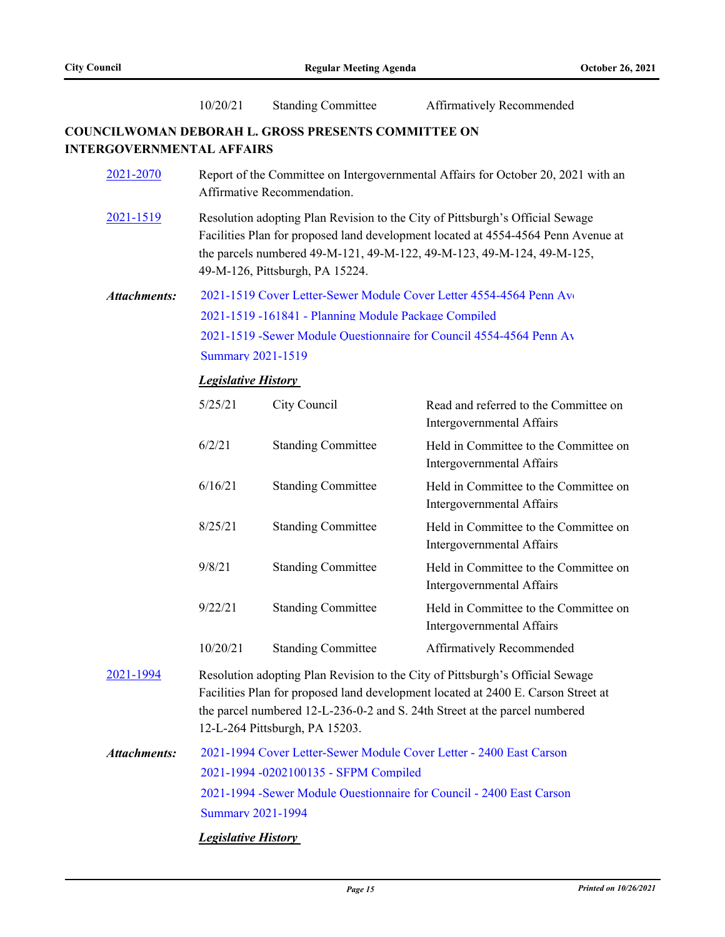|                                  | 10/20/21                                                                                                                                                                                                                                                                           | <b>Standing Committee</b>                                  | Affirmatively Recommended                                           |  |
|----------------------------------|------------------------------------------------------------------------------------------------------------------------------------------------------------------------------------------------------------------------------------------------------------------------------------|------------------------------------------------------------|---------------------------------------------------------------------|--|
| <b>INTERGOVERNMENTAL AFFAIRS</b> |                                                                                                                                                                                                                                                                                    | <b>COUNCILWOMAN DEBORAH L. GROSS PRESENTS COMMITTEE ON</b> |                                                                     |  |
| 2021-2070                        | Report of the Committee on Intergovernmental Affairs for October 20, 2021 with an<br>Affirmative Recommendation.                                                                                                                                                                   |                                                            |                                                                     |  |
| 2021-1519                        | Resolution adopting Plan Revision to the City of Pittsburgh's Official Sewage<br>Facilities Plan for proposed land development located at 4554-4564 Penn Avenue at<br>the parcels numbered 49-M-121, 49-M-122, 49-M-123, 49-M-124, 49-M-125,<br>49-M-126, Pittsburgh, PA 15224.    |                                                            |                                                                     |  |
| <b>Attachments:</b>              |                                                                                                                                                                                                                                                                                    |                                                            | 2021-1519 Cover Letter-Sewer Module Cover Letter 4554-4564 Penn Av  |  |
|                                  | 2021-1519 -161841 - Planning Module Package Compiled                                                                                                                                                                                                                               |                                                            |                                                                     |  |
|                                  |                                                                                                                                                                                                                                                                                    |                                                            | 2021-1519 -Sewer Module Questionnaire for Council 4554-4564 Penn Av |  |
|                                  | <b>Summary 2021-1519</b>                                                                                                                                                                                                                                                           |                                                            |                                                                     |  |
|                                  | <b>Legislative History</b>                                                                                                                                                                                                                                                         |                                                            |                                                                     |  |
|                                  | 5/25/21                                                                                                                                                                                                                                                                            | City Council                                               | Read and referred to the Committee on<br>Intergovernmental Affairs  |  |
|                                  | 6/2/21                                                                                                                                                                                                                                                                             | <b>Standing Committee</b>                                  | Held in Committee to the Committee on<br>Intergovernmental Affairs  |  |
|                                  | 6/16/21                                                                                                                                                                                                                                                                            | <b>Standing Committee</b>                                  | Held in Committee to the Committee on<br>Intergovernmental Affairs  |  |
|                                  | 8/25/21                                                                                                                                                                                                                                                                            | <b>Standing Committee</b>                                  | Held in Committee to the Committee on<br>Intergovernmental Affairs  |  |
|                                  | 9/8/21                                                                                                                                                                                                                                                                             | <b>Standing Committee</b>                                  | Held in Committee to the Committee on<br>Intergovernmental Affairs  |  |
|                                  | 9/22/21                                                                                                                                                                                                                                                                            | <b>Standing Committee</b>                                  | Held in Committee to the Committee on<br>Intergovernmental Affairs  |  |
|                                  | 10/20/21                                                                                                                                                                                                                                                                           | <b>Standing Committee</b>                                  | Affirmatively Recommended                                           |  |
| 2021-1994                        | Resolution adopting Plan Revision to the City of Pittsburgh's Official Sewage<br>Facilities Plan for proposed land development located at 2400 E. Carson Street at<br>the parcel numbered 12-L-236-0-2 and S. 24th Street at the parcel numbered<br>12-L-264 Pittsburgh, PA 15203. |                                                            |                                                                     |  |
| <b>Attachments:</b>              |                                                                                                                                                                                                                                                                                    |                                                            | 2021-1994 Cover Letter-Sewer Module Cover Letter - 2400 East Carson |  |
|                                  | 2021-1994 -0202100135 - SFPM Compiled                                                                                                                                                                                                                                              |                                                            |                                                                     |  |
|                                  | 2021-1994 -Sewer Module Ouestionnaire for Council - 2400 East Carson<br><b>Summary 2021-1994</b>                                                                                                                                                                                   |                                                            |                                                                     |  |
|                                  |                                                                                                                                                                                                                                                                                    |                                                            |                                                                     |  |

*Legislative History*